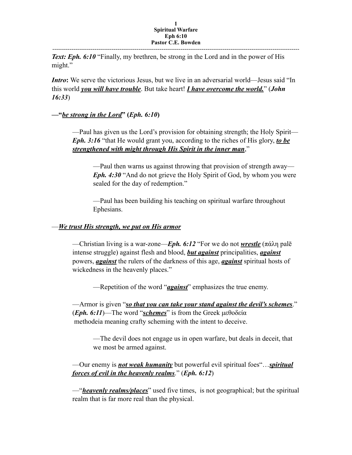---------------------------------------------------------------------------------------------------------------------------------

**Text: Eph. 6:10** "Finally, my brethren, be strong in the Lord and in the power of His might."

*Intro*: We serve the victorious Jesus, but we live in an adversarial world—Jesus said "In this world *you will have trouble*. But take heart! *I have overcome the world.*" (*John 16:33*)

## **—"***be strong in the Lord***" (***Eph. 6:10***)**

—Paul has given us the Lord's provision for obtaining strength; the Holy Spirit— *Eph. 3:16* "that He would grant you, according to the riches of His glory, *to be strengthened with might through His Spirit in the inner man*,"

—Paul then warns us against throwing that provision of strength away— *Eph. 4:30* "And do not grieve the Holy Spirit of God, by whom you were sealed for the day of redemption."

—Paul has been building his teaching on spiritual warfare throughout Ephesians.

## —*We trust His strength, we put on His armor*

—Christian living is a war-zone—*Eph. 6:12* "For we do not *wrestle* (πάλη palē intense struggle) against flesh and blood, *but against* principalities, *against* powers, *against* the rulers of the darkness of this age, *against* spiritual hosts of wickedness in the heavenly places."

—Repetition of the word "*against*" emphasizes the true enemy.

—Armor is given "*so that you can take your stand against the devil's schemes*." (*Eph. 6:11*)—The word "*schemes*" is from the Greek µεθοδεία methodeia meaning crafty scheming with the intent to deceive.

—The devil does not engage us in open warfare, but deals in deceit, that we most be armed against.

—Our enemy is *not weak humanity* but powerful evil spiritual foes"…*spiritual forces of evil in the heavenly realms*." (*Eph. 6:12*)

—"*heavenly realms/places*" used five times, is not geographical; but the spiritual realm that is far more real than the physical.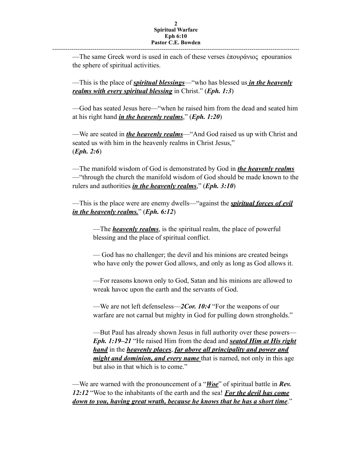## **2 Spiritual Warfare Eph 6:10 Pastor C.E. Bowden**

---------------------------------------------------------------------------------------------------------------------------------

—The same Greek word is used in each of these verses ἐπουράνιος epouranios the sphere of spiritual activities.

—This is the place of *spiritual blessings*—"who has blessed us *in the heavenly realms with every spiritual blessing* in Christ." (*Eph. 1:3*)

—God has seated Jesus here—"when he raised him from the dead and seated him at his right hand *in the heavenly realms*," (*Eph. 1:20*)

—We are seated in *the heavenly realms*—"And God raised us up with Christ and seated us with him in the heavenly realms in Christ Jesus," (*Eph. 2:6*)

—The manifold wisdom of God is demonstrated by God in *the heavenly realms* —"through the church the manifold wisdom of God should be made known to the rulers and authorities *in the heavenly realms*," (*Eph. 3:10*)

—This is the place were are enemy dwells—"against the *spiritual forces of evil in the heavenly realms.*" (*Eph. 6:12*)

—The *heavenly realms*, is the spiritual realm, the place of powerful blessing and the place of spiritual conflict.

— God has no challenger; the devil and his minions are created beings who have only the power God allows, and only as long as God allows it.

—For reasons known only to God, Satan and his minions are allowed to wreak havoc upon the earth and the servants of God.

—We are not left defenseless—*2Cor. 10:4* "For the weapons of our warfare are not carnal but mighty in God for pulling down strongholds."

—But Paul has already shown Jesus in full authority over these powers— *Eph. 1:19–21* "He raised Him from the dead and *seated Him at His right hand* in the *heavenly places*, *far above all principality and power and might and dominion, and every name* that is named, not only in this age but also in that which is to come."

—We are warned with the pronouncement of a "*Woe*" of spiritual battle in *Rev. 12:12* "Woe to the inhabitants of the earth and the sea! *For the devil has come down to you, having great wrath, because he knows that he has a short time*."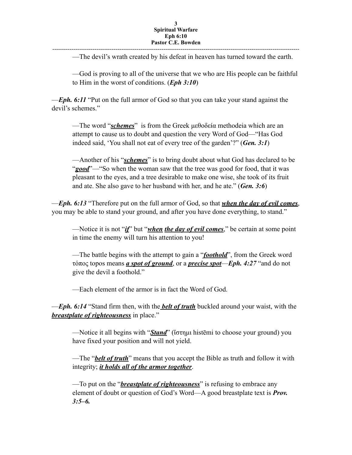---------------------------------------------------------------------------------------------------------------------------------

—The devil's wrath created by his defeat in heaven has turned toward the earth.

—God is proving to all of the universe that we who are His people can be faithful to Him in the worst of conditions. (*Eph 3:10*)

—*Eph. 6:11* "Put on the full armor of God so that you can take your stand against the devil's schemes."

—The word "*schemes*" is from the Greek µεθοδεία methodeia which are an attempt to cause us to doubt and question the very Word of God—"Has God indeed said, 'You shall not eat of every tree of the garden'?" (*Gen. 3:1*)

—Another of his "*schemes*" is to bring doubt about what God has declared to be "*good*"— "So when the woman saw that the tree was good for food, that it was pleasant to the eyes, and a tree desirable to make one wise, she took of its fruit and ate. She also gave to her husband with her, and he ate." (*Gen. 3:6*)

—*Eph. 6:13* "Therefore put on the full armor of God, so that *when the day of evil comes*, you may be able to stand your ground, and after you have done everything, to stand."

—Notice it is not "*if*" but "*when the day of evil comes*," be certain at some point in time the enemy will turn his attention to you!

—The battle begins with the attempt to gain a "*foothold*", from the Greek word τόπος topos means *a spot of ground*, or a *precise spot*—*Eph. 4:27* "and do not give the devil a foothold."

—Each element of the armor is in fact the Word of God.

—*Eph. 6:14* "Stand firm then, with the *belt of truth* buckled around your waist, with the *breastplate of righteousness* in place."

—Notice it all begins with "*Stand*" (ἵστημι histēmi to choose your ground) you have fixed your position and will not yield.

—The "*belt of truth*" means that you accept the Bible as truth and follow it with integrity; *it holds all of the armor together*.

—To put on the "*breastplate of righteousness*" is refusing to embrace any element of doubt or question of God's Word—A good breastplate text is *Prov. 3:5–6.*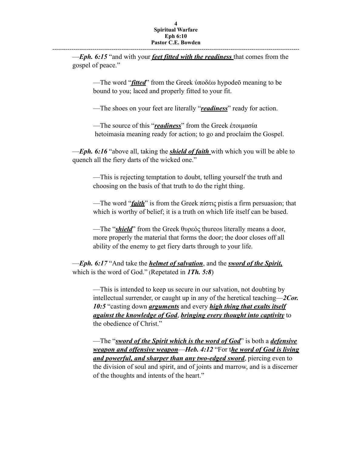## **4 Spiritual Warfare Eph 6:10 Pastor C.E. Bowden**

---------------------------------------------------------------------------------------------------------------------------------

—*Eph. 6:15* "and with your *feet fitted with the readiness* that comes from the gospel of peace."

—The word "*fitted*" from the Greek ὑποδέω hypodeō meaning to be bound to you; laced and properly fitted to your fit.

—The shoes on your feet are literally "*readiness*" ready for action.

—The source of this "*readiness*" from the Greek ἑτοιµασία hetoimasia meaning ready for action; to go and proclaim the Gospel.

—*Eph. 6:16* "above all, taking the *shield of faith* with which you will be able to quench all the fiery darts of the wicked one."

—This is rejecting temptation to doubt, telling yourself the truth and choosing on the basis of that truth to do the right thing.

—The word "*faith*" is from the Greek πίστις pistis a firm persuasion; that which is worthy of belief; it is a truth on which life itself can be based.

—The "*shield*" from the Greek θυρεός thureos literally means a door, more properly the material that forms the door; the door closes off all ability of the enemy to get fiery darts through to your life.

—*Eph. 6:17* "And take the *helmet of salvation*, and the *sword of the Spirit,* which is the word of God." (Repetated in *1Th. 5:8*)

—This is intended to keep us secure in our salvation, not doubting by intellectual surrender, or caught up in any of the heretical teaching—*2Cor. 10:5* "casting down *arguments* and every *high thing that exalts itself against the knowledge of God*, *bringing every thought into captivity* to the obedience of Christ."

—The "*sword of the Spirit which is the word of God*" is both a *defensive weapon and offensive weapon*—*Heb. 4:12* "For t*he word of God is living and powerful, and sharper than any two-edged sword*, piercing even to the division of soul and spirit, and of joints and marrow, and is a discerner of the thoughts and intents of the heart."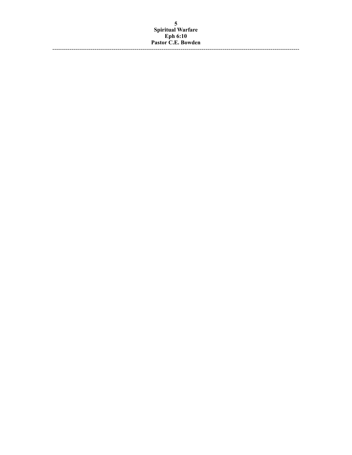5<br>Spiritual Warfare<br>Eph 6:10<br>Pastor C.E. Bowden